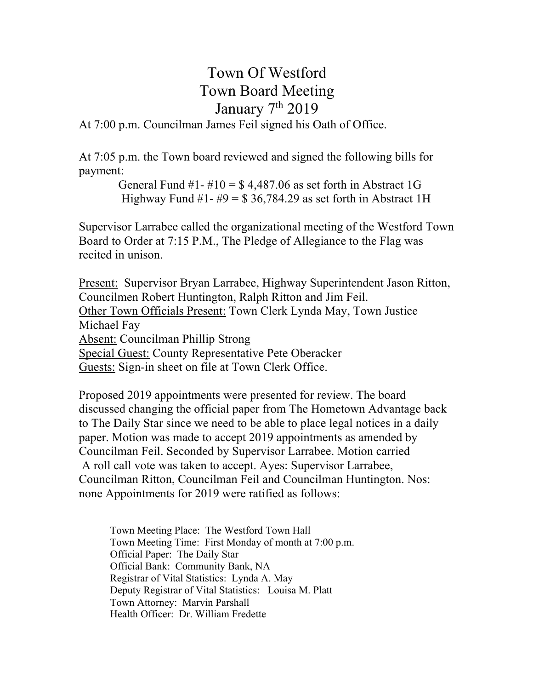# Town Of Westford Town Board Meeting January 7<sup>th</sup> 2019

#### At 7:00 p.m. Councilman James Feil signed his Oath of Office.

At 7:05 p.m. the Town board reviewed and signed the following bills for payment:

> General Fund #1- #10 =  $$4,487.06$  as set forth in Abstract 1G Highway Fund #1- #9 =  $$36,784.29$  as set forth in Abstract 1H

Supervisor Larrabee called the organizational meeting of the Westford Town Board to Order at 7:15 P.M., The Pledge of Allegiance to the Flag was recited in unison.

Present: Supervisor Bryan Larrabee, Highway Superintendent Jason Ritton, Councilmen Robert Huntington, Ralph Ritton and Jim Feil. Other Town Officials Present: Town Clerk Lynda May, Town Justice Michael Fay Absent: Councilman Phillip Strong Special Guest: County Representative Pete Oberacker Guests: Sign-in sheet on file at Town Clerk Office.

Proposed 2019 appointments were presented for review. The board discussed changing the official paper from The Hometown Advantage back to The Daily Star since we need to be able to place legal notices in a daily paper. Motion was made to accept 2019 appointments as amended by Councilman Feil. Seconded by Supervisor Larrabee. Motion carried A roll call vote was taken to accept. Ayes: Supervisor Larrabee, Councilman Ritton, Councilman Feil and Councilman Huntington. Nos: none Appointments for 2019 were ratified as follows:

Town Meeting Place: The Westford Town Hall Town Meeting Time: First Monday of month at 7:00 p.m. Official Paper: The Daily Star Official Bank: Community Bank, NA Registrar of Vital Statistics: Lynda A. May Deputy Registrar of Vital Statistics: Louisa M. Platt Town Attorney: Marvin Parshall Health Officer: Dr. William Fredette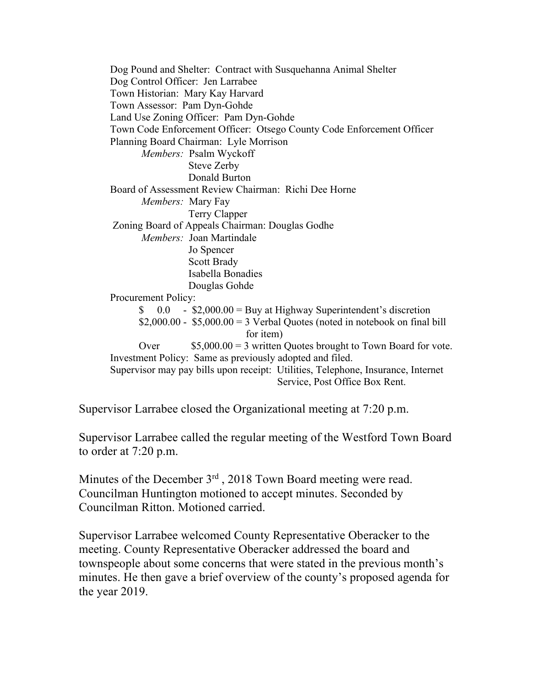Dog Pound and Shelter: Contract with Susquehanna Animal Shelter Dog Control Officer: Jen Larrabee Town Historian: Mary Kay Harvard Town Assessor: Pam Dyn-Gohde Land Use Zoning Officer: Pam Dyn-Gohde Town Code Enforcement Officer: Otsego County Code Enforcement Officer Planning Board Chairman: Lyle Morrison *Members:* Psalm Wyckoff Steve Zerby Donald Burton Board of Assessment Review Chairman: Richi Dee Horne *Members:* Mary Fay Terry Clapper Zoning Board of Appeals Chairman: Douglas Godhe *Members:* Joan Martindale Jo Spencer Scott Brady Isabella Bonadies Douglas Gohde Procurement Policy:  $\text{\$}$  0.0 - \$2,000.00 = Buy at Highway Superintendent's discretion  $$2,000.00 - $5,000.00 = 3$  Verbal Quotes (noted in notebook on final bill for item) Over \$5,000.00 = 3 written Quotes brought to Town Board for vote. Investment Policy: Same as previously adopted and filed. Supervisor may pay bills upon receipt: Utilities, Telephone, Insurance, Internet Service, Post Office Box Rent.

Supervisor Larrabee closed the Organizational meeting at 7:20 p.m.

Supervisor Larrabee called the regular meeting of the Westford Town Board to order at 7:20 p.m.

Minutes of the December 3<sup>rd</sup>, 2018 Town Board meeting were read. Councilman Huntington motioned to accept minutes. Seconded by Councilman Ritton. Motioned carried.

Supervisor Larrabee welcomed County Representative Oberacker to the meeting. County Representative Oberacker addressed the board and townspeople about some concerns that were stated in the previous month's minutes. He then gave a brief overview of the county's proposed agenda for the year 2019.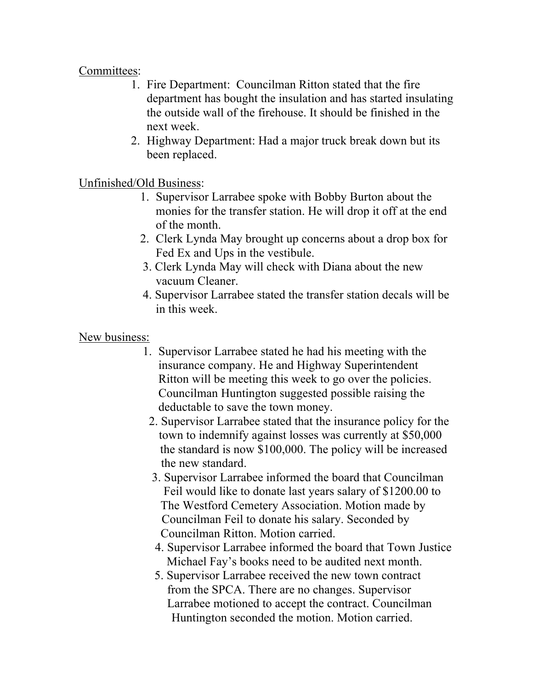## Committees:

- 1. Fire Department: Councilman Ritton stated that the fire department has bought the insulation and has started insulating the outside wall of the firehouse. It should be finished in the next week.
- 2. Highway Department: Had a major truck break down but its been replaced.

## Unfinished/Old Business:

- 1. Supervisor Larrabee spoke with Bobby Burton about the monies for the transfer station. He will drop it off at the end of the month.
- 2. Clerk Lynda May brought up concerns about a drop box for Fed Ex and Ups in the vestibule.
- 3. Clerk Lynda May will check with Diana about the new vacuum Cleaner.
- 4. Supervisor Larrabee stated the transfer station decals will be in this week.

#### New business:

- 1. Supervisor Larrabee stated he had his meeting with the insurance company. He and Highway Superintendent Ritton will be meeting this week to go over the policies. Councilman Huntington suggested possible raising the deductable to save the town money.
	- 2. Supervisor Larrabee stated that the insurance policy for the town to indemnify against losses was currently at \$50,000 the standard is now \$100,000. The policy will be increased the new standard.
	- 3. Supervisor Larrabee informed the board that Councilman Feil would like to donate last years salary of \$1200.00 to The Westford Cemetery Association. Motion made by Councilman Feil to donate his salary. Seconded by Councilman Ritton. Motion carried.
	- 4. Supervisor Larrabee informed the board that Town Justice Michael Fay's books need to be audited next month.
	- 5. Supervisor Larrabee received the new town contract from the SPCA. There are no changes. Supervisor Larrabee motioned to accept the contract. Councilman Huntington seconded the motion. Motion carried.